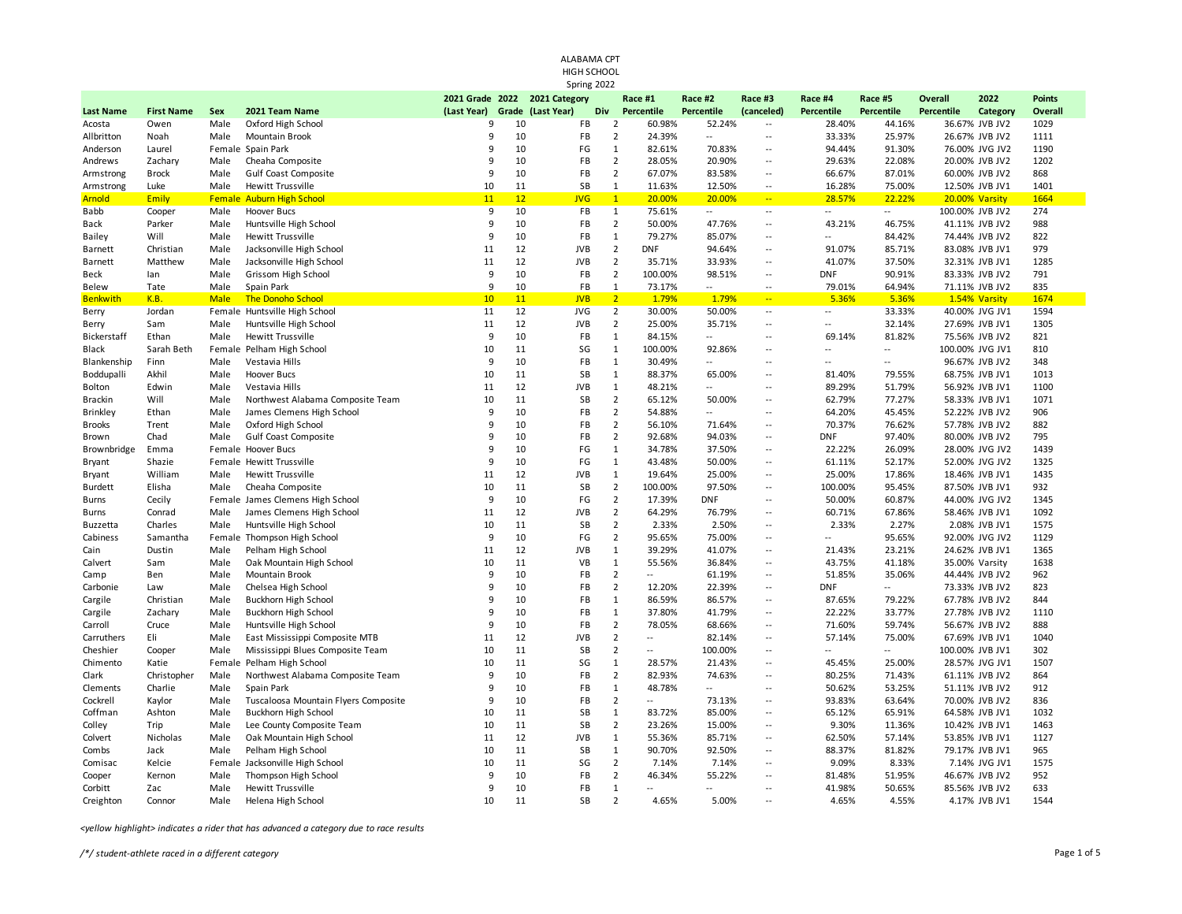| ALABAMA CPT<br>HIGH SCHOOL<br>Spring 2022 |                   |             |                                      |                  |       |                                              |                       |                          |                              |                                        |                              |                          |                                     |          |                          |
|-------------------------------------------|-------------------|-------------|--------------------------------------|------------------|-------|----------------------------------------------|-----------------------|--------------------------|------------------------------|----------------------------------------|------------------------------|--------------------------|-------------------------------------|----------|--------------------------|
|                                           | <b>First Name</b> | Sex         |                                      |                  | Grade | 2021 Grade 2022 2021 Category<br>(Last Year) |                       | Race #1                  | Race #2<br><b>Percentile</b> | Race #3                                | Race #4<br><b>Percentile</b> | Race #5                  | <b>Overall</b><br><b>Percentile</b> | 2022     | <b>Points</b><br>Overall |
| <b>Last Name</b><br>Acosta                | Owen              | Male        | 2021 Team Name<br>Oxford High School | (Last Year)<br>9 | 10    | FB                                           | Div<br>$\overline{2}$ | Percentile<br>60.98%     | 52.24%                       | (canceled)<br>$\overline{\phantom{a}}$ | 28.40%                       | Percentile<br>44.16%     | 36.67% JVB JV2                      | Category | 1029                     |
| Allbritton                                | Noah              | Male        | Mountain Brook                       | 9                | 10    | FB                                           | $\overline{2}$        | 24.39%                   | $\mathbb{L}$                 | $\overline{\phantom{a}}$               | 33.33%                       | 25.97%                   | 26.67% JVB JV2                      |          | 1111                     |
| Anderson                                  | Laurel            |             | Female Spain Park                    | 9                | 10    | FG                                           | $\mathbf{1}$          | 82.61%                   | 70.83%                       | $\overline{\phantom{a}}$               | 94.44%                       | 91.30%                   | 76.00% JVG JV2                      |          | 1190                     |
| Andrews                                   | Zachary           | Male        | Cheaha Composite                     | 9                | 10    | FB                                           | $\overline{2}$        | 28.05%                   | 20.90%                       | $\overline{\phantom{a}}$               | 29.63%                       | 22.08%                   | 20.00% JVB JV2                      |          | 1202                     |
| Armstrong                                 | <b>Brock</b>      | Male        | Gulf Coast Composite                 | 9                | 10    | FB                                           | $\overline{2}$        | 67.07%                   | 83.58%                       | $\overline{\phantom{a}}$               | 66.67%                       | 87.01%                   | 60.00% JVB JV2                      |          | 868                      |
| Armstrong                                 | Luke              | Male        | Hewitt Trussville                    | 10               | 11    | <b>SB</b>                                    | $\mathbf{1}$          | 11.63%                   | 12.50%                       | $\overline{\phantom{a}}$               | 16.28%                       | 75.00%                   | 12.50% JVB JV1                      |          | 1401                     |
| <b>Arnold</b>                             | Emily             |             | <b>Female Auburn High School</b>     | 11               | 12    | <b>JVG</b>                                   | $\mathbf{1}$          | 20.00%                   | 20.00%                       | $\Box$                                 | 28.57%                       | 22.22%                   | 20.00% Varsity                      |          | 1664                     |
| Babb                                      | Cooper            | Male        | <b>Hoover Bucs</b>                   | 9                | 10    | FB                                           | 1                     | 75.61%                   | $\overline{\phantom{a}}$     | $\overline{\phantom{a}}$               | ÷.                           | $\overline{\phantom{a}}$ | 100.00% JVB JV2                     |          | 274                      |
| <b>Back</b>                               | Parker            | Male        | Huntsville High School               | 9                | 10    | FB                                           | $\overline{2}$        | 50.00%                   | 47.76%                       | $\ddotsc$                              | 43.21%                       | 46.75%                   | 41.11% JVB JV2                      |          | 988                      |
| Bailey                                    | Will              | Male        | <b>Hewitt Trussville</b>             | 9                | 10    | FB                                           | $\mathbf{1}$          | 79.27%                   | 85.07%                       | --                                     | ÷.                           | 84.42%                   | 74.44% JVB JV2                      |          | 822                      |
| Barnett                                   | Christian         | Male        | Jacksonville High School             | 11               | 12    | <b>JVB</b>                                   | $\overline{2}$        | <b>DNF</b>               | 94.64%                       | $\ddotsc$                              | 91.07%                       | 85.71%                   | 83.08% JVB JV1                      |          | 979                      |
| Barnett                                   | Matthew           | Male        | Jacksonville High School             | 11               | 12    | <b>JVB</b>                                   | $\overline{2}$        | 35.71%                   | 33.93%                       | $\overline{\phantom{a}}$               | 41.07%                       | 37.50%                   | 32.31% JVB JV1                      |          | 1285                     |
| Beck                                      | lan               | Male        | Grissom High School                  | 9                | 10    | FB                                           | $\overline{2}$        | 100.00%                  | 98.51%                       | $\ddotsc$                              | <b>DNF</b>                   | 90.91%                   | 83.33% JVB JV2                      |          | 791                      |
| Belew                                     | Tate              | Male        | Spain Park                           | 9                | 10    | FB                                           | $\mathbf{1}$          | 73.17%                   | $\overline{\phantom{a}}$     | $\overline{\phantom{a}}$               | 79.01%                       | 64.94%                   | 71.11% JVB JV2                      |          | 835                      |
| <b>Benkwith</b>                           | K.B.              | <b>Male</b> | <b>The Donoho School</b>             | 10               | 11    | <b>JVB</b>                                   | $\overline{2}$        | 1.79%                    | 1.79%                        | $\Box$                                 | 5.36%                        | 5.36%                    | 1.54% Varsity                       |          | 1674                     |
| Berry                                     | Jordan            | Female      | Huntsville High School               | 11               | 12    | <b>JVG</b>                                   | $\overline{2}$        | 30.00%                   | 50.00%                       | $\overline{\phantom{a}}$               | Ξ.                           | 33.33%                   | 40.00% JVG JV1                      |          | 1594                     |
| Berry                                     | Sam               | Male        | Huntsville High School               | 11               | 12    | <b>JVB</b>                                   | $\overline{2}$        | 25.00%                   | 35.71%                       | $\ddotsc$                              | Ξ.                           | 32.14%                   | 27.69% JVB JV1                      |          | 1305                     |
| Bickerstaff                               | Ethan             | Male        | <b>Hewitt Trussville</b>             | 9                | 10    | FB                                           | $1\,$                 | 84.15%                   | $\mathbb{L}$                 | $\ddotsc$                              | 69.14%                       | 81.82%                   | 75.56% JVB JV2                      |          | 821                      |
| Black                                     | Sarah Beth        |             | Female Pelham High School            | 10               | 11    | SG                                           | $\mathbf 1$           | 100.00%                  | 92.86%                       | $\ddotsc$                              | $\overline{a}$               | $\overline{\phantom{a}}$ | 100.00% JVG JV1                     |          | 810                      |
| Blankenship                               | Finn              | Male        | Vestavia Hills                       | 9                | 10    | FB                                           | $\mathbf{1}$          | 30.49%                   | $\sim$                       | $\ddotsc$                              | $\sim$                       | $\overline{a}$           | 96.67% JVB JV2                      |          | 348                      |
| Boddupalli                                | Akhil             | Male        | Hoover Bucs                          | 10               | 11    | SB                                           | $\mathbf 1$           | 88.37%                   | 65.00%                       | $\ddotsc$                              | 81.40%                       | 79.55%                   | 68.75% JVB JV1                      |          | 1013                     |
| Bolton                                    | Edwin             | Male        | Vestavia Hills                       | 11               | 12    | <b>JVB</b>                                   | $\mathbf 1$           | 48.21%                   | $\sim$                       | $\sim$                                 | 89.29%                       | 51.79%                   | 56.92% JVB JV1                      |          | 1100                     |
| <b>Brackin</b>                            | Will              | Male        | Northwest Alabama Composite Team     | 10               | 11    | SB                                           | $\overline{2}$        | 65.12%                   | 50.00%                       | $\overline{\phantom{a}}$               | 62.79%                       | 77.27%                   | 58.33% JVB JV1                      |          | 1071                     |
| Brinkley                                  | Ethan             | Male        | James Clemens High School            | 9                | 10    | FB                                           | $\overline{2}$        | 54.88%                   | $\sim$                       | $\sim$                                 | 64.20%                       | 45.45%                   | 52.22% JVB JV2                      |          | 906                      |
| <b>Brooks</b>                             | Trent             | Male        | Oxford High School                   | 9                | 10    | FB                                           | $\overline{2}$        | 56.10%                   | 71.64%                       | $\overline{a}$                         | 70.37%                       | 76.62%                   | 57.78% JVB JV2                      |          | 882                      |
| Brown                                     | Chad              | Male        | <b>Gulf Coast Composite</b>          | 9                | 10    | FB                                           | $\overline{2}$        | 92.68%                   | 94.03%                       | --                                     | <b>DNF</b>                   | 97.40%                   | 80.00% JVB JV2                      |          | 795                      |
| Brownbridge                               | Emma              |             | Female Hoover Bucs                   | 9                | 10    | FG                                           | $1\,$                 | 34.78%                   | 37.50%                       | $\overline{\phantom{a}}$               | 22.22%                       | 26.09%                   | 28.00% JVG JV2                      |          | 1439                     |
| Bryant                                    | Shazie            |             | Female Hewitt Trussville             | 9                | 10    | FG                                           | $\mathbf{1}$          | 43.48%                   | 50.00%                       | --                                     | 61.11%                       | 52.17%                   | 52.00% JVG JV2                      |          | 1325                     |
| Bryant                                    | William           | Male        | <b>Hewitt Trussville</b>             | 11               | 12    | <b>JVB</b>                                   | $\mathbf{1}$          | 19.64%                   | 25.00%                       | $\overline{\phantom{a}}$               | 25.00%                       | 17.86%                   | 18.46% JVB JV1                      |          | 1435                     |
| <b>Burdett</b>                            | Elisha            | Male        | Cheaha Composite                     | 10               | 11    | SB                                           | $\overline{2}$        | 100.00%                  | 97.50%                       | --                                     | 100.00%                      | 95.45%                   | 87.50% JVB JV1                      |          | 932                      |
| Burns                                     | Cecily            |             | Female James Clemens High School     | 9                | 10    | FG                                           | $\overline{2}$        | 17.39%                   | <b>DNF</b>                   | $\overline{\phantom{a}}$               | 50.00%                       | 60.87%                   | 44.00% JVG JV2                      |          | 1345                     |
| Burns                                     | Conrad            | Male        | James Clemens High School            | 11               | 12    | <b>JVB</b>                                   | $\overline{2}$        | 64.29%                   | 76.79%                       | $\sim$                                 | 60.71%                       | 67.86%                   | 58.46% JVB JV1                      |          | 1092                     |
| Buzzetta                                  | Charles           | Male        | Huntsville High School               | 10               | 11    | SB                                           | $\overline{2}$        | 2.33%                    | 2.50%                        | $\overline{a}$                         | 2.33%                        | 2.27%                    | 2.08% JVB JV1                       |          | 1575                     |
| Cabiness                                  | Samantha          |             | Female Thompson High School          | 9                | 10    | FG                                           | $\overline{2}$        | 95.65%                   | 75.00%                       | $\sim$                                 | ÷.                           | 95.65%                   | 92.00% JVG JV2                      |          | 1129                     |
| Cain                                      | Dustin            | Male        | Pelham High School                   | 11               | 12    | <b>JVB</b>                                   | $\mathbf{1}$          | 39.29%                   | 41.07%                       | $\overline{\phantom{a}}$               | 21.43%                       | 23.21%                   | 24.62% JVB JV1                      |          | 1365                     |
| Calvert                                   | Sam               | Male        | Oak Mountain High School             | 10               | 11    | VB                                           | $\mathbf{1}$          | 55.56%                   | 36.84%                       | $\sim$                                 | 43.75%                       | 41.18%                   | 35.00% Varsity                      |          | 1638                     |
| Camp                                      | Ben               | Male        | Mountain Brook                       | 9                | 10    | FB                                           | $\overline{2}$        | $\overline{a}$           | 61.19%                       | $\overline{\phantom{a}}$               | 51.85%                       | 35.06%                   | 44.44% JVB JV2                      |          | 962                      |
| Carbonie                                  | Law               | Male        | Chelsea High School                  | 9                | 10    | FB                                           | $\overline{2}$        | 12.20%                   | 22.39%                       | $\ddotsc$                              | <b>DNF</b>                   | uu l                     | 73.33% JVB JV2                      |          | 823                      |
| Cargile                                   | Christian         | Male        | Buckhorn High School                 | 9                | 10    | FB                                           | $\mathbf{1}$          | 86.59%                   | 86.57%                       | $\overline{\phantom{a}}$               | 87.65%                       | 79.22%                   | 67.78% JVB JV2                      |          | 844                      |
| Cargile                                   | Zachary           | Male        | Buckhorn High School                 | 9                | 10    | FB                                           | $\mathbf{1}$          | 37.80%                   | 41.79%                       | $\ddotsc$                              | 22.22%                       | 33.77%                   | 27.78% JVB JV2                      |          | 1110                     |
| Carroll                                   | Cruce             | Male        | Huntsville High School               | 9                | 10    | FB                                           | $\overline{2}$        | 78.05%                   | 68.66%                       | $\overline{\phantom{a}}$               | 71.60%                       | 59.74%                   | 56.67% JVB JV2                      |          | 888                      |
| Carruthers                                | Eli               | Male        | East Mississippi Composite MTB       | 11               | 12    | <b>JVB</b>                                   | $\overline{2}$        | ÷.                       | 82.14%                       | $\ddotsc$                              | 57.14%                       | 75.00%                   | 67.69% JVB JV1                      |          | 1040                     |
| Cheshier                                  | Cooper            | Male        | Mississippi Blues Composite Team     | 10               | 11    | <b>SB</b>                                    | $\overline{2}$        | $\overline{\phantom{a}}$ | 100.00%                      | $\overline{\phantom{a}}$               | ÷.                           | $\overline{\phantom{a}}$ | 100.00% JVB JV1                     |          | 302                      |
| Chimento                                  | Katie             |             | Female Pelham High School            | 10               | 11    | SG                                           | $\mathbf{1}$          | 28.57%                   | 21.43%                       | $\overline{a}$                         | 45.45%                       | 25.00%                   | 28.57% JVG JV1                      |          | 1507                     |
| Clark                                     | Christopher       | Male        | Northwest Alabama Composite Team     | 9                | 10    | FB                                           | $\overline{2}$        | 82.93%                   | 74.63%                       | $\overline{\phantom{a}}$               | 80.25%                       | 71.43%                   | 61.11% JVB JV2                      |          | 864                      |
| Clements                                  | Charlie           | Male        | Spain Park                           | 9                | 10    | FB                                           | $\mathbf{1}$          | 48.78%                   | $\sim$                       | $\ddotsc$                              | 50.62%                       | 53.25%                   | 51.11% JVB JV2                      |          | 912                      |
| Cockrell                                  | Kaylor            | Male        | Tuscaloosa Mountain Flyers Composite | 9                | 10    | FB                                           | $\overline{2}$        | Ξ.                       | 73.13%                       | $\overline{\phantom{a}}$               | 93.83%                       | 63.64%                   | 70.00% JVB JV2                      |          | 836                      |
| Coffman                                   | Ashton            | Male        | Buckhorn High School                 | 10               | 11    | SB                                           | $1\,$                 | 83.72%                   | 85.00%                       | $\overline{\phantom{a}}$               | 65.12%                       | 65.91%                   | 64.58% JVB JV1                      |          | 1032                     |
| Colley                                    | Trip              | Male        | Lee County Composite Team            | 10               | 11    | SB                                           | $\overline{2}$        | 23.26%                   | 15.00%                       | $\ddotsc$                              | 9.30%                        | 11.36%                   | 10.42% JVB JV1                      |          | 1463                     |
| Colvert                                   | Nicholas          | Male        | Oak Mountain High School             | 11               | 12    | <b>JVB</b>                                   | $1\,$                 | 55.36%                   | 85.71%                       | $\overline{\phantom{a}}$               | 62.50%                       | 57.14%                   | 53.85% JVB JV1                      |          | 1127                     |
| Combs                                     | Jack              | Male        | Pelham High School                   | 10               | 11    | SB                                           | $\mathbf{1}$          | 90.70%                   | 92.50%                       | $\overline{\phantom{a}}$               | 88.37%                       | 81.82%                   | 79.17% JVB JV1                      |          | 965                      |
| Comisac                                   | Kelcie            |             | Female Jacksonville High School      | 10               | 11    | SG                                           | $\overline{2}$        | 7.14%                    | 7.14%                        | $\ddotsc$                              | 9.09%                        | 8.33%                    | 7.14% JVG JV1                       |          | 1575                     |
| Cooper                                    | Kernon            | Male        | Thompson High School                 | 9                | 10    | FB                                           | $\overline{2}$        | 46.34%                   | 55.22%                       | $\ddotsc$                              | 81.48%                       | 51.95%                   | 46.67% JVB JV2                      |          | 952                      |
| Corbitt                                   | Zac               | Male        | Hewitt Trussville                    | 9                | 10    | FB                                           | $\mathbf{1}$          |                          | $\overline{a}$               | $\ddotsc$                              | 41.98%                       | 50.65%                   | 85.56% JVB JV2                      |          | 633                      |
| Creighton                                 | Connor            | Male        | Helena High School                   | 10               | 11    | <b>SB</b>                                    | $\overline{2}$        | 4.65%                    | 5.00%                        | $\ddotsc$                              | 4.65%                        | 4.55%                    | 4.17% JVB JV1                       |          | 1544                     |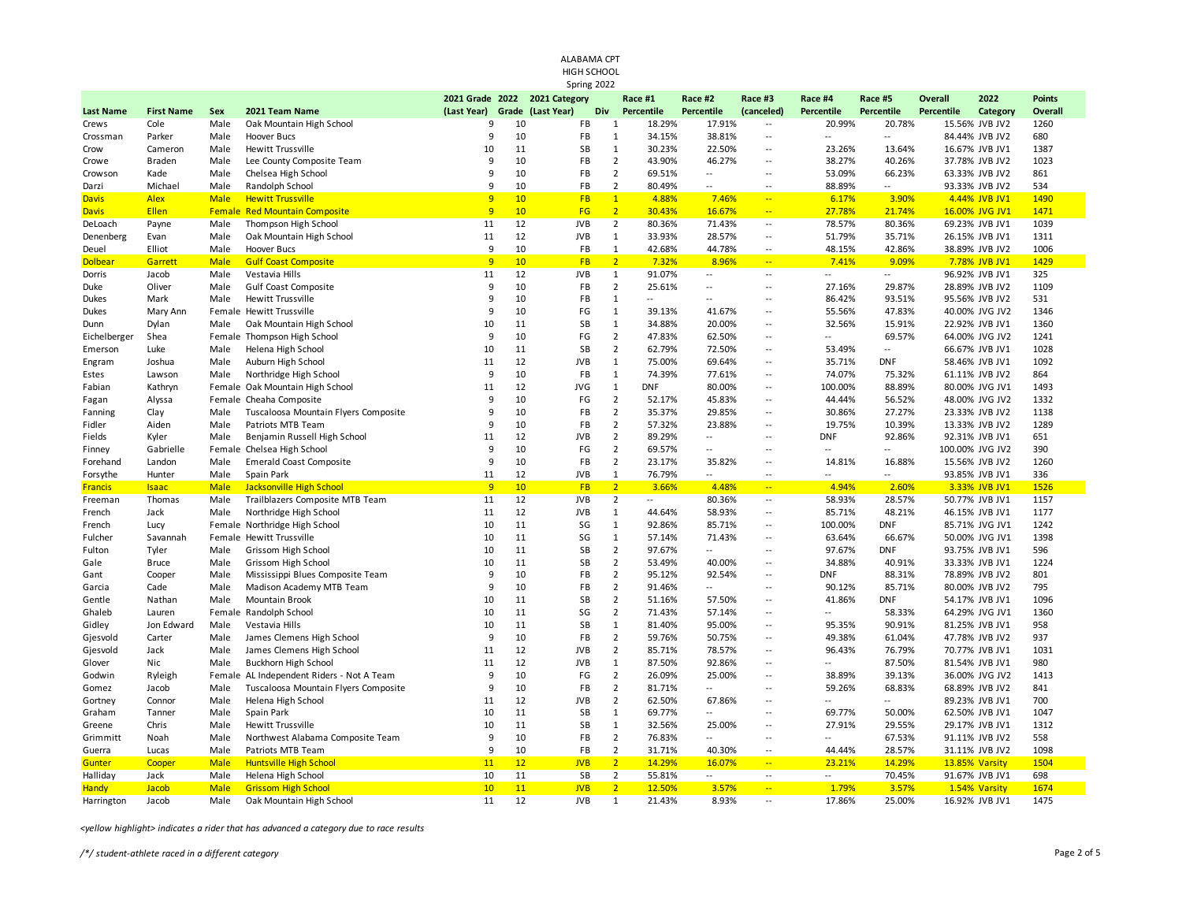| ALABAMA CPT               |                           |             |                                                        |                  |             |                   |                                  |                      |                          |                                                      |                      |                          |                 |                                  |                 |  |
|---------------------------|---------------------------|-------------|--------------------------------------------------------|------------------|-------------|-------------------|----------------------------------|----------------------|--------------------------|------------------------------------------------------|----------------------|--------------------------|-----------------|----------------------------------|-----------------|--|
| HIGH SCHOOL               |                           |             |                                                        |                  |             |                   |                                  |                      |                          |                                                      |                      |                          |                 |                                  |                 |  |
|                           |                           |             |                                                        |                  |             | Spring 2022       |                                  |                      |                          |                                                      |                      |                          |                 |                                  |                 |  |
|                           |                           |             |                                                        | 2021 Grade 2022  |             | 2021 Category     |                                  | Race #1              | Race #2                  | Race #3                                              | Race #4              | Race #5                  | <b>Overall</b>  | 2022                             | <b>Points</b>   |  |
| <b>Last Name</b><br>Crews | <b>First Name</b><br>Cole | Sex<br>Male | 2021 Team Name<br>Oak Mountain High School             | (Last Year)<br>9 | Grade<br>10 | (Last Year)<br>FB | Div<br>$\mathbf{1}$              | Percentile<br>18.29% | Percentile<br>17.91%     | (canceled)<br>Ξ.                                     | Percentile<br>20.99% | Percentile<br>20.78%     | Percentile      | Category<br>15.56% JVB JV2       | Overall<br>1260 |  |
| Crossman                  | Parker                    | Male        | Hoover Bucs                                            | 9                | 10          | FB                | $\mathbf{1}$                     | 34.15%               | 38.81%                   | $\overline{a}$                                       | Ξ.                   | $\overline{\phantom{a}}$ |                 | 84.44% JVB JV2                   | 680             |  |
| Crow                      | Cameron                   | Male        | Hewitt Trussville                                      | 10               | 11          | SB                | $\mathbf{1}$                     | 30.23%               | 22.50%                   | $\overline{\phantom{a}}$                             | 23.26%               | 13.64%                   |                 | 16.67% JVB JV1                   | 1387            |  |
| Crowe                     | Braden                    | Male        | Lee County Composite Team                              | 9                | 10          | FB                | $\overline{2}$                   | 43.90%               | 46.27%                   | $\overline{a}$                                       | 38.27%               | 40.26%                   |                 | 37.78% JVB JV2                   | 1023            |  |
| Crowson                   | Kade                      | Male        | Chelsea High School                                    | 9                | 10          | FB                | $\overline{2}$                   | 69.51%               | $\mathbb{L}$             | $\sim$                                               | 53.09%               | 66.23%                   |                 | 63.33% JVB JV2                   | 861             |  |
| Darzi                     | Michael                   | Male        | Randolph School                                        | 9                | 10          | FB                | $\overline{2}$                   | 80.49%               | $\sim$ $\sim$            | --                                                   | 88.89%               | $\overline{a}$           |                 | 93.33% JVB JV2                   | 534             |  |
| <b>Davis</b>              | <b>Alex</b>               | <b>Male</b> | <b>Hewitt Trussville</b>                               | 9                | 10          | <b>FB</b>         | $\bullet$                        | 4.88%                | 7.46%                    | $\rightarrow$                                        | 6.17%                | 3.90%                    |                 | 4.44% JVB JV1                    | 1490            |  |
| <b>Davis</b>              | Ellen                     |             | <b>Female Red Mountain Composite</b>                   | 9                | 10          | FG                | $\overline{2}$                   | 30.43%               | 16.67%                   | $\overline{\phantom{a}}$                             | 27.78%               | 21.74%                   |                 | 16.00% JVG JV1                   | 1471            |  |
| DeLoach                   | Payne                     | Male        | Thompson High School                                   | 11               | 12          | <b>JVB</b>        | $\overline{2}$                   | 80.36%               | 71.43%                   | $\overline{a}$                                       | 78.57%               | 80.36%                   |                 | 69.23% JVB JV1                   | 1039            |  |
| Denenberg                 | Evan                      | Male        | Oak Mountain High School                               | 11               | 12          | <b>JVB</b>        | $\mathbf{1}$                     | 33.93%               | 28.57%                   | $\overline{\phantom{a}}$                             | 51.79%               | 35.71%                   |                 | 26.15% JVB JV1                   | 1311            |  |
| Deuel                     | Elliot                    | Male        | Hoover Bucs                                            | 9                | 10          | FB                | $\mathbf{1}$                     | 42.68%               | 44.78%                   | Ξ.                                                   | 48.15%               | 42.86%                   |                 | 38.89% JVB JV2                   | 1006            |  |
| <b>Dolbear</b>            | Garrett                   | <b>Male</b> | <b>Gulf Coast Composite</b>                            | 9                | 10          | <b>FB</b>         | $\overline{2}$                   | 7.32%                | 8.96%                    | $\mathbb{Z}^{\mathbb{Z}_2}$                          | 7.41%                | 9.09%                    |                 | 7.78% JVB JV1                    | 1429            |  |
| Dorris                    | Jacob                     | Male        | Vestavia Hills                                         | 11               | 12          | <b>JVB</b>        | $\mathbf{1}$                     | 91.07%               | $\sim$ $\sim$            | $\sim$                                               | $\overline{a}$       | $\sim$                   |                 | 96.92% JVB JV1                   | 325             |  |
| Duke                      | Oliver                    | Male        | <b>Gulf Coast Composite</b>                            | 9                | 10          | FB                | $\overline{2}$                   | 25.61%               | $\sim$                   | $\sim$                                               | 27.16%               | 29.87%                   |                 | 28.89% JVB JV2                   | 1109            |  |
| Dukes                     | Mark                      | Male        | <b>Hewitt Trussville</b>                               | 9                | 10          | FB                | $\mathbf{1}$                     | $\overline{a}$       | $\sim$ $\sim$            | $\overline{a}$                                       | 86.42%               | 93.51%                   |                 | 95.56% JVB JV2                   | 531             |  |
| Dukes                     | Mary Ann                  |             | Female Hewitt Trussville                               | 9                | 10          | $\mathsf{FG}$     | $\mathbf{1}$                     | 39.13%               | 41.67%                   | $\sim$                                               | 55.56%               | 47.83%                   |                 | 40.00% JVG JV2                   | 1346            |  |
| Dunn                      | Dylan                     | Male        | Oak Mountain High School                               | 10               | 11          | SB                | $\mathbf{1}$                     | 34.88%               | 20.00%                   | $\overline{\phantom{a}}$                             | 32.56%               | 15.91%                   |                 | 22.92% JVB JV1                   | 1360            |  |
| Eichelberger              | Shea                      |             | Female Thompson High School                            | 9                | 10          | $\mathsf{FG}$     | $\overline{2}$                   | 47.83%               | 62.50%                   | $\sim$                                               | 44                   | 69.57%                   |                 | 64.00% JVG JV2                   | 1241            |  |
| Emerson                   | Luke                      | Male        | Helena High School                                     | 10               | 11          | SB                | $\overline{2}$                   | 62.79%               | 72.50%                   | $\overline{\phantom{a}}$                             | 53.49%               | $\overline{\phantom{a}}$ |                 | 66.67% JVB JV1                   | 1028            |  |
| Engram                    | Joshua                    | Male        | Auburn High School                                     | 11               | 12          | <b>JVB</b>        | $\mathbf{1}$                     | 75.00%               | 69.64%                   | $\sim$                                               | 35.71%               | <b>DNF</b>               |                 | 58.46% JVB JV1                   | 1092            |  |
| Estes                     | Lawson                    | Male        | Northridge High School                                 | 9                | 10          | FB                | $\mathbf{1}$                     | 74.39%               | 77.61%                   | $\overline{\phantom{a}}$                             | 74.07%               | 75.32%                   |                 | 61.11% JVB JV2                   | 864             |  |
| Fabian                    | Kathryn                   |             | Female Oak Mountain High School                        | 11               | 12          | <b>JVG</b>        | $\mathbf{1}$                     | <b>DNF</b>           | 80.00%                   | $\sim$                                               | 100.00%              | 88.89%                   |                 | 80.00% JVG JV1                   | 1493            |  |
| Fagan                     | Alyssa                    |             | Female Cheaha Composite                                | 9                | 10          | FG                | $\overline{2}$                   | 52.17%               | 45.83%                   | $\overline{\phantom{a}}$                             | 44.44%               | 56.52%                   |                 | 48.00% JVG JV2                   | 1332            |  |
| Fanning                   | Clay                      | Male        | Tuscaloosa Mountain Flyers Composite                   | 9                | 10          | FB                | $\overline{2}$                   | 35.37%               | 29.85%                   | $\sim$                                               | 30.86%               | 27.27%                   |                 | 23.33% JVB JV2                   | 1138            |  |
| Fidler                    | Aiden                     | Male        | Patriots MTB Team                                      | 9                | 10          | FB                | $\overline{2}$                   | 57.32%               | 23.88%                   | $\overline{a}$                                       | 19.75%               | 10.39%                   |                 | 13.33% JVB JV2                   | 1289            |  |
| Fields                    | Kyler                     | Male        | Benjamin Russell High School                           | 11               | 12          | <b>JVB</b>        | $\overline{2}$                   | 89.29%               | $\mathbb{L}$             | $\sim$                                               | <b>DNF</b>           | 92.86%                   |                 | 92.31% JVB JV1                   | 651             |  |
| Finney                    | Gabrielle                 |             | Female Chelsea High School                             | 9                | 10          | FG                | $\overline{2}$                   | 69.57%               | $\overline{\phantom{a}}$ | $\ddotsc$                                            | $\sim$               | Щ,                       | 100.00% JVG JV2 |                                  | 390             |  |
| Forehand                  | Landon                    | Male        | <b>Emerald Coast Composite</b>                         | 9                | 10          | FB                | $\overline{2}$                   | 23.17%               | 35.82%                   | $\sim$                                               | 14.81%               | 16.88%                   |                 | 15.56% JVB JV2                   | 1260            |  |
| Forsythe                  | Hunter                    | Male        | Spain Park                                             | 11               | 12          | <b>JVB</b>        | $\mathbf{1}$                     | 76.79%               | $\sim$                   | Ξ.                                                   | $-$                  | $-$                      |                 | 93.85% JVB JV1                   | 336             |  |
| <b>Francis</b>            | <b>Isaac</b>              | <b>Male</b> | <b>Jacksonville High School</b>                        | 9                | 10          | <b>FB</b>         | $\overline{2}$                   | 3.66%                | 4.48%                    | $\overline{\phantom{a}}$                             | 4.94%                | 2.60%                    |                 | 3.33% JVB JV1                    | 1526            |  |
| Freeman                   | Thomas                    | Male        | Trailblazers Composite MTB Team                        | 11               | 12          | <b>JVB</b>        | $\overline{2}$                   | Щ.                   | 80.36%                   | $\overline{\phantom{a}}$                             | 58.93%               | 28.57%                   |                 | 50.77% JVB JV1                   | 1157            |  |
| French                    | Jack                      | Male        | Northridge High School                                 | 11               | 12          | <b>JVB</b>        | $\mathbf{1}$                     | 44.64%               | 58.93%                   | $\overline{\phantom{a}}$                             | 85.71%               | 48.21%                   |                 | 46.15% JVB JV1                   | 1177            |  |
| French                    | Lucy                      |             | Female Northridge High School                          | 10               | 11          | SG                | $\mathbf{1}$                     | 92.86%               | 85.71%                   | $\overline{\phantom{a}}$                             | 100.00%              | <b>DNF</b>               |                 | 85.71% JVG JV1                   | 1242            |  |
| Fulcher                   | Savannah                  |             | Female Hewitt Trussville                               | 10               | 11          | SG                | $\mathbf{1}$                     | 57.14%               | 71.43%                   | $\overline{\phantom{a}}$                             | 63.64%               | 66.67%                   |                 | 50.00% JVG JV1                   | 1398            |  |
| Fulton                    | Tyler                     | Male        | Grissom High School                                    | 10               | 11          | SB                | $\overline{2}$                   | 97.67%               | $\sim$                   | $\sim$                                               | 97.67%               | <b>DNF</b>               |                 | 93.75% JVB JV1                   | 596             |  |
| Gale                      | <b>Bruce</b>              | Male        | Grissom High School                                    | 10               | 11          | <b>SB</b>         | $\overline{2}$                   | 53.49%               | 40.00%                   | $\overline{\phantom{a}}$                             | 34.88%               | 40.91%                   |                 | 33.33% JVB JV1                   | 1224            |  |
| Gant                      | Cooper                    | Male        | Mississippi Blues Composite Team                       | 9                | 10          | FB                | $\overline{2}$<br>$\overline{2}$ | 95.12%               | 92.54%                   | $\overline{\phantom{a}}$                             | <b>DNF</b>           | 88.31%                   |                 | 78.89% JVB JV2                   | 801             |  |
| Garcia                    | Cade                      | Male        | Madison Academy MTB Team                               | 9                | 10          | FB                | $\overline{2}$                   | 91.46%               | $\mathbb{L}$             | $\overline{\phantom{a}}$<br>$\overline{\phantom{a}}$ | 90.12%               | 85.71%                   |                 | 80.00% JVB JV2                   | 795             |  |
| Gentle                    | Nathan                    | Male        | Mountain Brook                                         | 10               | 11          | SB                | $\overline{2}$                   | 51.16%               | 57.50%                   |                                                      | 41.86%<br>44         | <b>DNF</b>               |                 | 54.17% JVB JV1                   | 1096            |  |
| Ghaleb                    | Lauren<br>Jon Edward      | Male        | Female Randolph School                                 | 10<br>10         | 11<br>11    | SG<br><b>SB</b>   | $\mathbf{1}$                     | 71.43%<br>81.40%     | 57.14%<br>95.00%         | $\overline{\phantom{a}}$<br>$\overline{\phantom{a}}$ | 95.35%               | 58.33%<br>90.91%         |                 | 64.29% JVG JV1<br>81.25% JVB JV1 | 1360<br>958     |  |
| Gidley                    | Carter                    | Male        | Vestavia Hills                                         | 9                | 10          | FB                | $\overline{2}$                   | 59.76%               | 50.75%                   | $\ddotsc$                                            | 49.38%               | 61.04%                   |                 | 47.78% JVB JV2                   | 937             |  |
| Gjesvold                  | Jack                      | Male        | James Clemens High School<br>James Clemens High School | 11               | 12          | <b>JVB</b>        | $\overline{2}$                   | 85.71%               | 78.57%                   | $\overline{\phantom{a}}$                             | 96.43%               | 76.79%                   |                 | 70.77% JVB JV1                   | 1031            |  |
| Gjesvold<br>Glover        | Nic                       | Male        | Buckhorn High School                                   | 11               | 12          | <b>JVB</b>        | $\mathbf{1}$                     | 87.50%               | 92.86%                   | $\overline{\phantom{a}}$                             | Ξ.                   | 87.50%                   |                 | 81.54% JVB JV1                   | 980             |  |
|                           |                           |             | Female AL Independent Riders - Not A Team              | 9                | 10          | FG                | $\overline{2}$                   | 26.09%               | 25.00%                   | $\sim$                                               | 38.89%               | 39.13%                   |                 | 36.00% JVG JV2                   | 1413            |  |
| Godwin<br>Gomez           | Ryleigh<br>Jacob          | Male        | Tuscaloosa Mountain Flyers Composite                   | 9                | 10          | FB                | $\overline{2}$                   | 81.71%               | $\overline{\phantom{a}}$ | $\ddotsc$                                            | 59.26%               | 68.83%                   |                 | 68.89% JVB JV2                   | 841             |  |
| Gortney                   | Connor                    | Male        | Helena High School                                     | 11               | 12          | <b>JVB</b>        | $\overline{2}$                   | 62.50%               | 67.86%                   | $\ddotsc$                                            | Ξ.                   | $\overline{\phantom{a}}$ |                 | 89.23% JVB JV1                   | 700             |  |
| Graham                    | Tanner                    | Male        | Spain Park                                             | 10               | 11          | SB                | $\mathbf{1}$                     | 69.77%               | $\overline{\phantom{a}}$ | $\ddotsc$                                            | 69.77%               | 50.00%                   |                 | 62.50% JVB JV1                   | 1047            |  |
| Greene                    | Chris                     | Male        | <b>Hewitt Trussville</b>                               | 10               | 11          | SB                | $\mathbf{1}$                     | 32.56%               | 25.00%                   | $\overline{\phantom{a}}$                             | 27.91%               | 29.55%                   |                 | 29.17% JVB JV1                   | 1312            |  |
| Grimmitt                  | Noah                      | Male        | Northwest Alabama Composite Team                       | 9                | 10          | FB                | $\overline{2}$                   | 76.83%               | $\overline{\phantom{a}}$ | $\ddotsc$                                            | $\overline{a}$       | 67.53%                   |                 | 91.11% JVB JV2                   | 558             |  |
| Guerra                    | Lucas                     | Male        | Patriots MTB Team                                      | 9                | 10          | FB                | $\overline{2}$                   | 31.71%               | 40.30%                   | $\overline{\phantom{a}}$                             | 44.44%               | 28.57%                   |                 | 31.11% JVB JV2                   | 1098            |  |
| Gunter                    | Cooper                    | <b>Male</b> | <b>Huntsville High School</b>                          | 11               | 12          | <b>JVB</b>        | $\overline{2}$                   | 14.29%               | 16.07%                   | $\overline{\phantom{a}}$                             | 23.21%               | 14.29%                   | 13.85% Varsity  |                                  | 1504            |  |
| Halliday                  | Jack                      | Male        | Helena High School                                     | 10               | 11          | SB                | $\overline{2}$                   | 55.81%               | $\overline{a}$           | $\overline{\phantom{a}}$                             |                      | 70.45%                   |                 | 91.67% JVB JV1                   | 698             |  |
| <b>Handy</b>              | <b>Jacob</b>              | <b>Male</b> | <b>Grissom High School</b>                             | 10               | 11          | <b>JVB</b>        | $\overline{2}$                   | 12.50%               | 3.57%                    | $\rightarrow$                                        | 1.79%                | 3.57%                    |                 | 1.54% Varsity                    | 1674            |  |
| Harrington                | Jacob                     | Male        | Oak Mountain High School                               | 11               | 12          | <b>JVB</b>        | $\mathbf{1}$                     | 21.43%               | 8.93%                    | $\sim$                                               | 17.86%               | 25.00%                   |                 | 16.92% JVB JV1                   | 1475            |  |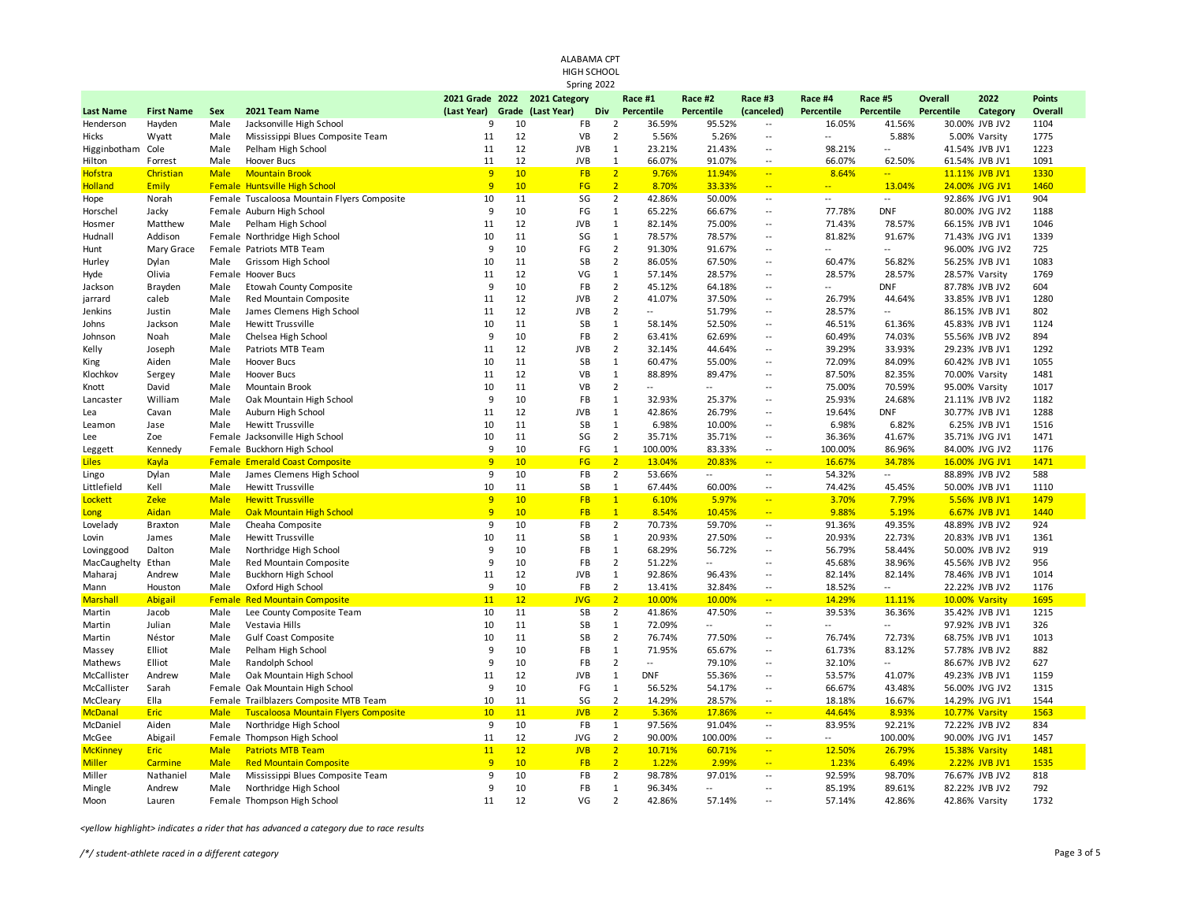|                  |                   |               |                                             |                               |       |             | HIGH SCHOOL   |                |                          |                          |                          |                          |                          |                |                |               |  |
|------------------|-------------------|---------------|---------------------------------------------|-------------------------------|-------|-------------|---------------|----------------|--------------------------|--------------------------|--------------------------|--------------------------|--------------------------|----------------|----------------|---------------|--|
|                  |                   |               |                                             |                               |       |             | Spring 2022   |                |                          |                          |                          |                          |                          |                |                |               |  |
|                  |                   |               |                                             | 2021 Grade 2022 2021 Category |       |             |               |                | Race #1                  | Race #2                  | Race #3                  | Race #4                  | Race #5                  | <b>Overall</b> | 2022           | <b>Points</b> |  |
| <b>Last Name</b> | <b>First Name</b> | Sex           | 2021 Team Name                              | (Last Year)                   | Grade | (Last Year) |               | Div            | Percentile               | Percentile               | (canceled)               | <b>Percentile</b>        | Percentile               | Percentile     | Category       | Overall       |  |
| Henderson        | Hayden            | Male          | Jacksonville High School                    | 9                             | 10    |             | FB            | $\overline{2}$ | 36.59%                   | 95.52%                   | $\overline{\phantom{a}}$ | 16.05%                   | 41.56%                   |                | 30.00% JVB JV2 | 1104          |  |
| Hicks            | Wyatt             | Male          | Mississippi Blues Composite Team            | 11                            | 12    |             | VB            | $\overline{2}$ | 5.56%                    | 5.26%                    | $\overline{a}$           | Ξ.                       | 5.88%                    |                | 5.00% Varsity  | 1775          |  |
| Higginbotham     | Cole              | Male          | Pelham High School                          | 11                            | 12    |             | <b>JVB</b>    | $\mathbf{1}$   | 23.21%                   | 21.43%                   | $\overline{\phantom{a}}$ | 98.21%                   | ÷.                       |                | 41.54% JVB JV1 | 1223          |  |
| Hilton           | Forrest           | Male          | Hoover Bucs                                 | 11                            | 12    |             | <b>JVB</b>    | $\mathbf{1}$   | 66.07%                   | 91.07%                   | 4                        | 66.07%                   | 62.50%                   |                | 61.54% JVB JV1 | 1091          |  |
| <b>Hofstra</b>   | Christian         | <b>Male</b>   | <b>Mountain Brook</b>                       | 9                             | 10    |             | <b>FB</b>     | $\overline{2}$ | 9.76%                    | 11.94%                   | $\frac{1}{2}$            | 8.64%                    | ш.                       |                | 11.11% JVB JV1 | 1330          |  |
| <b>Holland</b>   | Emily             |               | Female Huntsville High School               | 9                             | 10    |             | FG            | 2 <sup>2</sup> | 8.70%                    | 33.33%                   | $\rightarrow$            | $\overline{\phantom{a}}$ | 13.04%                   |                | 24.00% JVG JV1 | 1460          |  |
| Hope             | Norah             |               | Female Tuscaloosa Mountain Flyers Composite | 10                            | 11    |             | SG            | $\overline{2}$ | 42.86%                   | 50.00%                   | $\overline{\phantom{a}}$ | $\mathbb{L}$ .           | $\mathbb{L}$             |                | 92.86% JVG JV1 | 904           |  |
| Horschel         | Jacky             |               | Female Auburn High School                   | 9                             | 10    |             | FG            | $\mathbf{1}$   | 65.22%                   | 66.67%                   | $\sim$                   | 77.78%                   | <b>DNF</b>               |                | 80.00% JVG JV2 | 1188          |  |
| Hosmer           | Matthew           | Male          | Pelham High School                          | 11                            | 12    |             | <b>JVB</b>    | $\mathbf{1}$   | 82.14%                   | 75.00%                   | $\mathbb{L}$             | 71.43%                   | 78.57%                   |                | 66.15% JVB JV1 | 1046          |  |
| Hudnall          | Addison           |               | Female Northridge High School               | 10                            | 11    |             | SG            | $\mathbf 1$    | 78.57%                   | 78.57%                   | $\overline{\phantom{a}}$ | 81.82%                   | 91.67%                   |                | 71.43% JVG JV1 | 1339          |  |
| Hunt             | Mary Grace        |               | Female Patriots MTB Team                    | 9                             | 10    |             | $\mathsf{FG}$ | $\overline{2}$ | 91.30%                   | 91.67%                   | $\overline{\phantom{a}}$ | $\overline{\phantom{a}}$ | Щ.                       |                | 96.00% JVG JV2 | 725           |  |
| Hurley           | Dylan             | Male          | Grissom High School                         | 10                            | 11    |             | SB            | $\overline{2}$ | 86.05%                   | 67.50%                   | $\overline{\phantom{a}}$ | 60.47%                   | 56.82%                   |                | 56.25% JVB JV1 | 1083          |  |
| Hyde             | Olivia            |               | Female Hoover Bucs                          | 11                            | 12    |             | VG            | $\mathbf 1$    | 57.14%                   | 28.57%                   | $\overline{\phantom{a}}$ | 28.57%                   | 28.57%                   |                | 28.57% Varsity | 1769          |  |
| Jackson          | Brayden           | Male          | Etowah County Composite                     | 9                             | 10    |             | FB            | $\overline{2}$ | 45.12%                   | 64.18%                   | $\overline{\phantom{a}}$ | Ξ.                       | <b>DNF</b>               |                | 87.78% JVB JV2 | 604           |  |
| jarrard          | caleb             | Male          | Red Mountain Composite                      | 11                            | 12    |             | <b>JVB</b>    | $\overline{2}$ | 41.07%                   | 37.50%                   | $\overline{\phantom{a}}$ | 26.79%                   | 44.64%                   |                | 33.85% JVB JV1 | 1280          |  |
| Jenkins          | Justin            | Male          | James Clemens High School                   | 11                            | 12    |             | <b>JVB</b>    | $\overline{2}$ | $\overline{\phantom{a}}$ | 51.79%                   | $\overline{\phantom{a}}$ | 28.57%                   | Щ.                       |                | 86.15% JVB JV1 | 802           |  |
| Johns            | Jackson           | Male          | <b>Hewitt Trussville</b>                    | 10                            | 11    |             | <b>SB</b>     | $\mathbf{1}$   | 58.14%                   | 52.50%                   | $\overline{\phantom{a}}$ | 46.51%                   | 61.36%                   |                | 45.83% JVB JV1 | 1124          |  |
| Johnson          | Noah              | Male          | Chelsea High School                         | 9                             | 10    |             | FB            | $\overline{2}$ | 63.41%                   | 62.69%                   | $\mathbb{L}^2$           | 60.49%                   | 74.03%                   |                | 55.56% JVB JV2 | 894           |  |
| Kelly            | Joseph            | Male          | Patriots MTB Team                           | 11                            | 12    |             | <b>JVB</b>    | $\overline{2}$ | 32.14%                   | 44.64%                   | $\overline{\phantom{a}}$ | 39.29%                   | 33.93%                   |                | 29.23% JVB JV1 | 1292          |  |
| King             | Aiden             | Male          | Hoover Bucs                                 | 10                            | 11    |             | SB            | $\mathbf 1$    | 60.47%                   | 55.00%                   | $\overline{\phantom{a}}$ | 72.09%                   | 84.09%                   |                | 60.42% JVB JV1 | 1055          |  |
| Klochkov         | Sergey            | Male          | Hoover Bucs                                 | 11                            | 12    |             | VB            | $\mathbf 1$    | 88.89%                   | 89.47%                   | $\mathbb{L}$             | 87.50%                   | 82.35%                   | 70.00% Varsity |                | 1481          |  |
| Knott            | David             | Male          | Mountain Brook                              | 10                            | 11    |             | VB            | $\overline{2}$ | $\sim$                   | $\sim$                   | $\sim$                   | 75.00%                   | 70.59%                   | 95.00% Varsity |                | 1017          |  |
| Lancaster        | William           | Male          | Oak Mountain High School                    | 9                             | 10    |             | FB            | $\mathbf 1$    | 32.93%                   | 25.37%                   | $\overline{\phantom{a}}$ | 25.93%                   | 24.68%                   |                | 21.11% JVB JV2 | 1182          |  |
| Lea              | Cavan             | Male          | Auburn High School                          | 11                            | 12    |             | <b>JVB</b>    | $\mathbf{1}$   | 42.86%                   | 26.79%                   | $\overline{\phantom{a}}$ | 19.64%                   | <b>DNF</b>               |                | 30.77% JVB JV1 | 1288          |  |
| Leamon           | Jase              | Male          | <b>Hewitt Trussville</b>                    | 10                            | 11    |             | SB            | $\mathbf 1$    | 6.98%                    | 10.00%                   | $\overline{\phantom{a}}$ | 6.98%                    | 6.82%                    |                | 6.25% JVB JV1  | 1516          |  |
| Lee              | Zoe               |               | Female Jacksonville High School             | 10                            | 11    |             | SG            | $\overline{2}$ | 35.71%                   | 35.71%                   | $\overline{\phantom{a}}$ | 36.36%                   | 41.67%                   |                | 35.71% JVG JV1 | 1471          |  |
| Leggett          | Kennedy           |               | Female Buckhorn High School                 | 9                             | 10    |             | FG            | $\mathbf{1}$   | 100.00%                  | 83.33%                   | $\overline{\phantom{a}}$ | 100.00%                  | 86.96%                   |                | 84.00% JVG JV2 | 1176          |  |
| <b>Liles</b>     | Kayla             |               | <b>Female Emerald Coast Composite</b>       | 9                             | 10    |             | FG            | 2 <sup>1</sup> | 13.04%                   | 20.83%                   | $\rightarrow$            | 16.67%                   | 34.78%                   |                | 16.00% JVG JV1 | 1471          |  |
| Lingo            | Dylan             | Male          | James Clemens High School                   | 9                             | 10    |             | FB            | $\overline{2}$ | 53.66%                   | $\sim$ $\sim$            | $\sim$                   | 54.32%                   | $\overline{a}$           |                | 88.89% JVB JV2 | 588           |  |
| Littlefield      | Kell              | Male          | <b>Hewitt Trussville</b>                    | 10                            | 11    |             | SB            | $\mathbf{1}$   | 67.44%                   | 60.00%                   | $\overline{\phantom{a}}$ | 74.42%                   | 45.45%                   |                | 50.00% JVB JV1 | 1110          |  |
| Lockett          | Zeke              | <b>Male</b>   | <b>Hewitt Trussville</b>                    | 9                             | 10    |             | <b>FB</b>     | $\mathbf{1}$   | 6.10%                    | 5.97%                    | $\frac{1}{2}$            | 3.70%                    | 7.79%                    |                | 5.56% JVB JV1  | 1479          |  |
| Long             | Aidan             | <b>Male</b>   | Oak Mountain High School                    | $\overline{9}$                | 10    |             | <b>FB</b>     | $\mathbf{1}$   | 8.54%                    | 10.45%                   | $\mathbb{Z}^2$           | 9.88%                    | 5.19%                    |                | 6.67% JVB JV1  | 1440          |  |
| Lovelady         | <b>Braxton</b>    | Male          | Cheaha Composite                            | 9                             | 10    |             | FB            | $\overline{2}$ | 70.73%                   | 59.70%                   | ω.                       | 91.36%                   | 49.35%                   |                | 48.89% JVB JV2 | 924           |  |
| Lovin            | James             | Male          | Hewitt Trussville                           | 10                            | 11    |             | SB            | $\mathbf{1}$   | 20.93%                   | 27.50%                   | $\overline{\phantom{a}}$ | 20.93%                   | 22.73%                   |                | 20.83% JVB JV1 | 1361          |  |
| Lovinggood       | Dalton            | Male          | Northridge High School                      | 9                             | 10    |             | FB            | $\mathbf 1$    | 68.29%                   | 56.72%                   | $\overline{\phantom{a}}$ | 56.79%                   | 58.44%                   |                | 50.00% JVB JV2 | 919           |  |
| MacCaughelty     | Ethan             | Male          | Red Mountain Composite                      | 9                             | 10    |             | FB            | $\overline{2}$ | 51.22%                   | $\overline{a}$           | $\overline{\phantom{a}}$ | 45.68%                   | 38.96%                   |                | 45.56% JVB JV2 | 956           |  |
| Maharaj          | Andrew            | Male          | Buckhorn High School                        | 11                            | 12    |             | <b>JVB</b>    | $\mathbf 1$    | 92.86%                   | 96.43%                   | $\overline{a}$           | 82.14%                   | 82.14%                   |                | 78.46% JVB JV1 | 1014          |  |
| Mann             | Houston           | Male          | Oxford High School                          | 9                             | 10    |             | FB            | $\overline{2}$ | 13.41%                   | 32.84%                   | $\overline{\phantom{a}}$ | 18.52%                   | $\overline{\phantom{a}}$ |                | 22.22% JVB JV2 | 1176          |  |
| <b>Marshall</b>  | Abigail           | <b>Female</b> | <b>Red Mountain Composite</b>               | 11                            | 12    |             | <b>JVG</b>    | $\overline{2}$ | 10.00%                   | 10.00%                   | $\Box$                   | 14.29%                   | 11.11%                   |                | 10.00% Varsity | 1695          |  |
| Martin           | Jacob             | Male          | Lee County Composite Team                   | 10                            | 11    |             | <b>SB</b>     | $\overline{2}$ | 41.86%                   | 47.50%                   | $\overline{\phantom{a}}$ | 39.53%                   | 36.36%                   |                | 35.42% JVB JV1 | 1215          |  |
| Martin           | Julian            | Male          | Vestavia Hills                              | 10                            | 11    |             | SB            | $\mathbf{1}$   | 72.09%                   | $\overline{\phantom{a}}$ | $\sim$                   | ÷.                       | $\overline{a}$           |                | 97.92% JVB JV1 | 326           |  |
| Martin           | Néstor            | Male          | Gulf Coast Composite                        | 10                            | 11    |             | SB            | $\overline{2}$ | 76.74%                   | 77.50%                   | $\mathbb{L}^2$           | 76.74%                   | 72.73%                   |                | 68.75% JVB JV1 | 1013          |  |
| Massey           | Elliot            | Male          | Pelham High School                          | 9                             | 10    |             | FB            | $\mathbf 1$    | 71.95%                   | 65.67%                   | $\overline{\phantom{a}}$ | 61.73%                   | 83.12%                   |                | 57.78% JVB JV2 | 882           |  |
| Mathews          | Elliot            | Male          | Randolph School                             | 9                             | 10    |             | FB            | $\overline{2}$ | $\sim$                   | 79.10%                   | $\overline{\phantom{a}}$ | 32.10%                   | $\overline{\phantom{a}}$ |                | 86.67% JVB JV2 | 627           |  |
| McCallister      | Andrew            | Male          | Oak Mountain High School                    | 11                            | 12    |             | <b>JVB</b>    | $\mathbf{1}$   | <b>DNF</b>               | 55.36%                   | $\overline{\phantom{a}}$ | 53.57%                   | 41.07%                   |                | 49.23% JVB JV1 | 1159          |  |
| McCallister      | Sarah             | Female        | Oak Mountain High School                    | 9                             | 10    |             | FG            | $\mathbf{1}$   | 56.52%                   | 54.17%                   | $\overline{\phantom{a}}$ | 66.67%                   | 43.48%                   |                | 56.00% JVG JV2 | 1315          |  |
| McCleary         | Ella              |               | Female Trailblazers Composite MTB Team      | 10                            | 11    |             | SG            | $\overline{2}$ | 14.29%                   | 28.57%                   | $\overline{\phantom{a}}$ | 18.18%                   | 16.67%                   |                | 14.29% JVG JV1 | 1544          |  |
| <b>McDanal</b>   | <b>Eric</b>       | <b>Male</b>   | <b>Tuscaloosa Mountain Flyers Composite</b> | 10                            | 11    |             | <b>JVB</b>    | 2 <sup>1</sup> | 5.36%                    | 17.86%                   | $\frac{1}{2}$            | 44.64%                   | 8.93%                    |                | 10.77% Varsity | 1563          |  |
| McDaniel         | Aiden             | Male          | Northridge High School                      | 9                             | 10    |             | FB            | $\mathbf{1}$   | 97.56%                   | 91.04%                   | $\overline{\phantom{a}}$ | 83.95%                   | 92.21%                   |                | 72.22% JVB JV2 | 834           |  |
| McGee            | Abigail           |               | Female Thompson High School                 | 11                            | 12    |             | <b>JVG</b>    | $\overline{2}$ | 90.00%                   | 100.00%                  | $\frac{1}{2}$            |                          | 100.00%                  |                | 90.00% JVG JV1 | 1457          |  |
| <b>McKinney</b>  | <b>Eric</b>       | <b>Male</b>   | <b>Patriots MTB Team</b>                    | 11                            | 12    |             | <b>JVB</b>    | 2 <sup>2</sup> | 10.71%                   | 60.71%                   | $\rightarrow$            | 12.50%                   | 26.79%                   |                | 15.38% Varsity | 1481          |  |
| <b>Miller</b>    | Carmine           | <b>Male</b>   | <b>Red Mountain Composite</b>               | $\overline{9}$                | 10    |             | <b>FB</b>     | $\overline{2}$ | 1.22%                    | 2.99%                    | $\Box$                   | 1.23%                    | 6.49%                    |                | 2.22% JVB JV1  | 1535          |  |
| Miller           | Nathaniel         | Male          | Mississippi Blues Composite Team            | 9                             | 10    |             | FB            | $\overline{2}$ | 98.78%                   | 97.01%                   | $\overline{\phantom{a}}$ | 92.59%                   | 98.70%                   |                | 76.67% JVB JV2 | 818           |  |
| Mingle           | Andrew            | Male          | Northridge High School                      | 9                             | 10    |             | FB            | 1              | 96.34%                   | $\overline{\phantom{a}}$ | $\overline{\phantom{a}}$ | 85.19%                   | 89.61%                   |                | 82.22% JVB JV2 | 792           |  |
|                  | Lauren            |               |                                             | 11                            | 12    |             | VG            | $\overline{2}$ | 42.86%                   | 57.14%                   | $\sim$                   | 57.14%                   | 42.86%                   | 42.86% Varsity |                | 1732          |  |
| Moon             |                   |               | Female Thompson High School                 |                               |       |             |               |                |                          |                          |                          |                          |                          |                |                |               |  |

ALABAMA CPT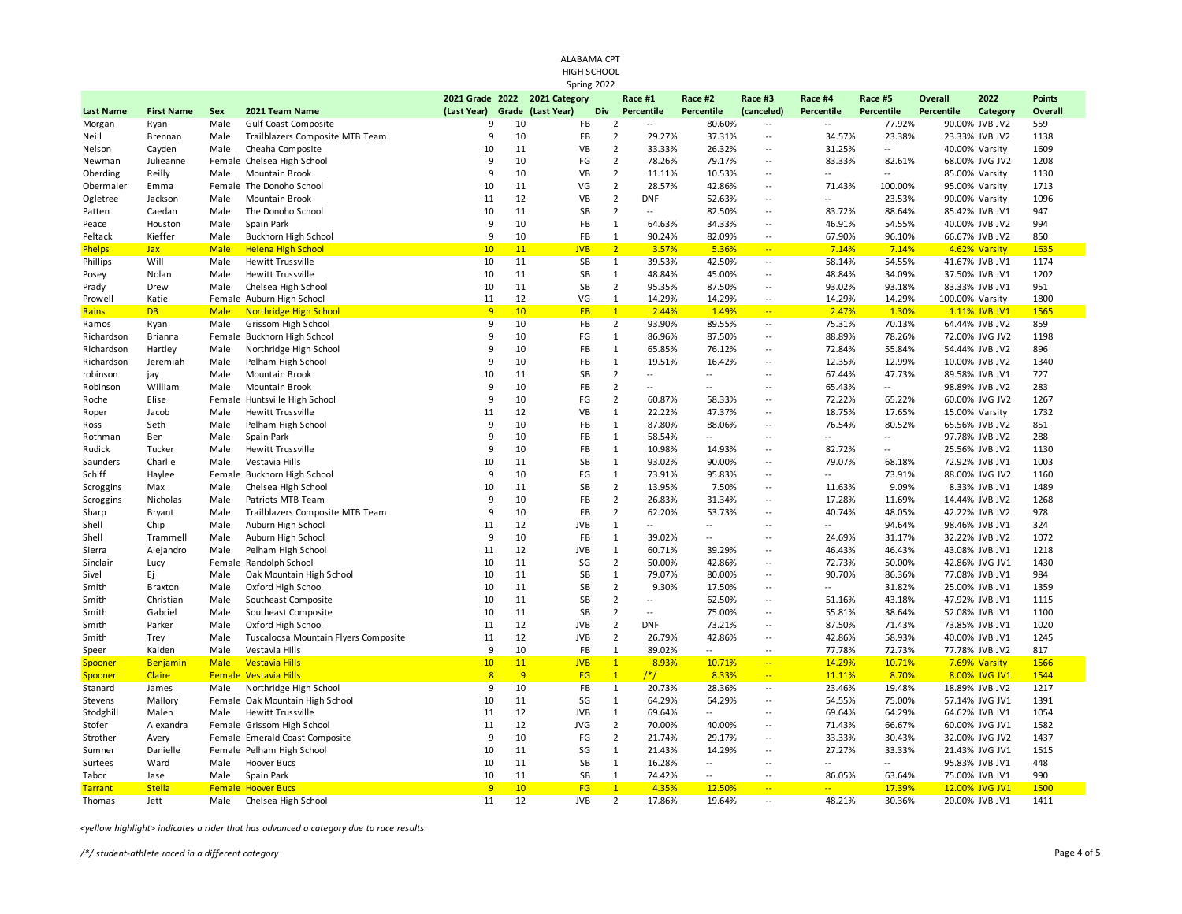| ALABAMA CPT<br>HIGH SCHOOL |                   |              |                                      |                 |                 |               |             |                                            |                          |                                |                          |                                    |                   |                                  |                |
|----------------------------|-------------------|--------------|--------------------------------------|-----------------|-----------------|---------------|-------------|--------------------------------------------|--------------------------|--------------------------------|--------------------------|------------------------------------|-------------------|----------------------------------|----------------|
|                            |                   |              |                                      |                 |                 |               | Spring 2022 |                                            |                          |                                |                          |                                    |                   |                                  |                |
|                            |                   |              |                                      | 2021 Grade 2022 |                 | 2021 Category |             | Race #1                                    | Race #2                  | Race #3                        | Race #4                  | Race #5                            | <b>Overall</b>    | 2022                             | <b>Points</b>  |
| <b>Last Name</b>           | <b>First Name</b> | Sex          | 2021 Team Name                       | (Last Year)     | Grade           | (Last Year)   | <b>Div</b>  | Percentile                                 | Percentile               | (canceled)                     | Percentile               | Percentile                         | <b>Percentile</b> | Category                         | <b>Overall</b> |
| Morgan                     | Ryan              | Male         | Gulf Coast Composite                 | 9               | 10              | <b>FB</b>     |             | $\overline{2}$<br>$\overline{\phantom{a}}$ | 80.60%                   | $\overline{\phantom{a}}$       | $\overline{a}$           | 77.92%                             |                   | 90.00% JVB JV2                   | 559            |
| Neill                      | Brennan           | Male         | Trailblazers Composite MTB Team      | 9               | 10              | <b>FB</b>     |             | $\overline{2}$<br>29.27%                   | 37.31%                   | $\overline{\phantom{a}}$       | 34.57%                   | 23.38%                             |                   | 23.33% JVB JV2                   | 1138           |
| Nelson                     | Cayden            | Male         | Cheaha Composite                     | 10              | 11              | VB            |             | $\overline{2}$<br>33.33%                   | 26.32%                   | $\overline{a}$                 | 31.25%                   | $\mathbb{L}$                       |                   | 40.00% Varsity                   | 1609           |
| Newman                     | Julieanne         |              | Female Chelsea High School           | 9               | 10              | FG            |             | $\overline{2}$<br>78.26%                   | 79.17%                   | $\overline{a}$                 | 83.33%                   | 82.61%                             |                   | 68.00% JVG JV2                   | 1208           |
| Oberding                   | Reilly            | Male         | Mountain Brook                       | 9               | 10              | VB            |             | $\overline{2}$<br>11.11%                   | 10.53%                   | $\overline{a}$                 | 44                       | $\mathbb{L}$                       |                   | 85.00% Varsity                   | 1130           |
| Obermaier                  | Emma              |              | Female The Donoho School             | 10              | 11              | VG            |             | $\overline{2}$<br>28.57%                   | 42.86%                   | $\overline{a}$                 | 71.43%                   | 100.00%                            |                   | 95.00% Varsity                   | 1713           |
| Ogletree                   | Jackson           | Male         | Mountain Brook                       | 11              | 12              | VB            |             | $\overline{2}$<br><b>DNF</b>               | 52.63%                   | Ξ.                             | --                       | 23.53%                             |                   | 90.00% Varsity                   | 1096           |
| Patten                     | Caedan            | Male         | The Donoho School                    | 10              | 11              | <b>SB</b>     |             | $\overline{2}$<br>$\overline{a}$           | 82.50%                   | $\ddotsc$                      | 83.72%                   | 88.64%                             |                   | 85.42% JVB JV1                   | 947            |
| Peace                      | Houston           | Male         | Spain Park                           | 9               | 10              | FB            |             | $\mathbf 1$<br>64.63%                      | 34.33%                   | $\overline{a}$                 | 46.91%                   | 54.55%                             |                   | 40.00% JVB JV2                   | 994            |
| Peltack                    | Kieffer           | Male         | Buckhorn High School                 | 9               | 10              | FB            |             | $\mathbf{1}$<br>90.24%                     | 82.09%                   | $\overline{a}$                 | 67.90%                   | 96.10%                             |                   | 66.67% JVB JV2                   | 850            |
| Phelps                     | <b>Jax</b>        | <b>Male</b>  | <b>Helena High School</b>            | 10              | 11              | <b>JVB</b>    |             | $\overline{2}$<br>3.57%                    | 5.36%                    | $\Box$                         | 7.14%                    | 7.14%                              |                   | 4.62% Varsity                    | 1635           |
| Phillips                   | Will              | Male         | Hewitt Trussville                    | 10              | 11              | SB            |             | $\mathbf 1$<br>39.53%                      | 42.50%                   | $\overline{\phantom{a}}$       | 58.14%                   | 54.55%                             |                   | 41.67% JVB JV1                   | 1174           |
| Posey                      | Nolan             | Male         | <b>Hewitt Trussville</b>             | 10              | 11              | SB            |             | $\mathbf 1$<br>48.84%                      | 45.00%                   | $\overline{a}$                 | 48.84%                   | 34.09%                             |                   | 37.50% JVB JV1                   | 1202           |
| Prady                      | Drew              | Male         | Chelsea High School                  | 10              | 11              | SB            |             | $\mathbf 2$<br>95.35%                      | 87.50%                   | Ξ.                             | 93.02%                   | 93.18%                             |                   | 83.33% JVB JV1                   | 951            |
| Prowell                    | Katie             |              | Female Auburn High School            | 11              | 12              | VG            |             | $\mathbf 1$<br>14.29%                      | 14.29%                   | $\overline{a}$                 | 14.29%                   | 14.29%                             | 100.00% Varsity   |                                  | 1800           |
| <b>Rains</b>               | <b>DB</b>         | <b>Male</b>  | <b>Northridge High School</b>        | $\overline{9}$  | 10 <sup>°</sup> | <b>FB</b>     |             | $\mathbf{1}$<br>2.44%                      | 1.49%                    | $\Box$                         | 2.47%                    | 1.30%                              |                   | 1.11% JVB JV1                    | 1565           |
| Ramos                      | Ryan              | Male         | Grissom High School                  | 9               | 10              | FB            |             | $\overline{2}$<br>93.90%                   | 89.55%                   | $\ddotsc$                      | 75.31%                   | 70.13%                             |                   | 64.44% JVB JV2                   | 859            |
| Richardson                 | Brianna           | Female       | <b>Buckhorn High School</b>          | 9               | 10              | FG            |             | $\mathbf 1$<br>86.96%                      | 87.50%                   | $\overline{a}$                 | 88.89%                   | 78.26%                             |                   | 72.00% JVG JV2                   | 1198           |
| Richardson                 | Hartley           | Male         | Northridge High School               | 9               | 10              | FB            |             | $\mathbf 1$<br>65.85%                      | 76.12%                   | $\overline{\phantom{a}}$       | 72.84%                   | 55.84%                             |                   | 54.44% JVB JV2                   | 896            |
| Richardson                 | Jeremiah          | Male         | Pelham High School                   | 9               | 10              | FB            |             | $\mathbf 1$<br>19.51%                      | 16.42%                   | $\overline{a}$                 | 12.35%                   | 12.99%                             |                   | 10.00% JVB JV2                   | 1340           |
| robinson                   | jay               | Male         | Mountain Brook                       | 10              | 11              | SB            |             | $\overline{2}$<br>$\sim$                   | $\overline{\phantom{a}}$ | Ξ.                             | 67.44%                   | 47.73%                             |                   | 89.58% JVB JV1                   | 727            |
| Robinson                   | William           | Male         | Mountain Brook                       | 9               | 10              | FB            |             | $\mathbf 2$<br>$\sim$ $\sim$               | $\sim$                   | $\overline{a}$                 | 65.43%                   | $\mathbb{L}$                       |                   | 98.89% JVB JV2                   | 283            |
| Roche                      | Elise             |              | Female Huntsville High School        | 9               | 10              | FG            |             | $\overline{2}$<br>60.87%                   | 58.33%                   | $\overline{\phantom{a}}$<br>ä. | 72.22%                   | 65.22%                             |                   | 60.00% JVG JV2                   | 1267           |
| Roper                      | Jacob             | Male         | Hewitt Trussville                    | 11<br>9         | 12<br>10        | VB<br>FB      |             | $\mathbf 1$<br>22.22%<br>$\mathbf 1$       | 47.37%                   |                                | 18.75%                   | 17.65%                             |                   | 15.00% Varsity                   | 1732           |
| Ross                       | Seth              | Male         | Pelham High School                   |                 | 10              | FB            |             | 87.80%<br>$\mathbf 1$                      | 88.06%<br>$\mathbb{L}$   | $\overline{a}$<br>Ξ.           | 76.54%<br>$\overline{a}$ | 80.52%<br>$\overline{\phantom{a}}$ |                   | 65.56% JVB JV2                   | 851            |
| Rothman                    | Ben<br>Tucker     | Male<br>Male | Spain Park                           | 9<br>9          | 10              | FB            |             | 58.54%<br>$\mathbf 1$<br>10.98%            | 14.93%                   | Ξ.                             | 82.72%                   | $\mathbb{L}$                       |                   | 97.78% JVB JV2<br>25.56% JVB JV2 | 288<br>1130    |
| Rudick                     | Charlie           | Male         | Hewitt Trussville<br>Vestavia Hills  | 10              | 11              | SB            |             | $\mathbf 1$<br>93.02%                      | 90.00%                   | $\ddotsc$                      | 79.07%                   | 68.18%                             |                   | 72.92% JVB JV1                   | 1003           |
| Saunders<br>Schiff         | Haylee            | Female       | <b>Buckhorn High School</b>          | 9               | 10              | FG            |             | $\mathbf 1$<br>73.91%                      | 95.83%                   | $\overline{a}$                 | $\overline{a}$           | 73.91%                             |                   | 88.00% JVG JV2                   | 1160           |
| Scroggins                  | Max               | Male         | Chelsea High School                  | 10              | 11              | SB            |             | $\mathbf 2$<br>13.95%                      | 7.50%                    | $\ddotsc$                      | 11.63%                   | 9.09%                              |                   | 8.33% JVB JV1                    | 1489           |
| Scroggins                  | Nicholas          | Male         | Patriots MTB Team                    | 9               | 10              | <b>FB</b>     |             | $\overline{2}$<br>26.83%                   | 31.34%                   | $\overline{a}$                 | 17.28%                   | 11.69%                             |                   | 14.44% JVB JV2                   | 1268           |
| Sharp                      | Bryant            | Male         | Trailblazers Composite MTB Team      | 9               | 10              | <b>FB</b>     |             | $\overline{2}$<br>62.20%                   | 53.73%                   | $\ddotsc$                      | 40.74%                   | 48.05%                             |                   | 42.22% JVB JV2                   | 978            |
| Shell                      | Chip              | Male         | Auburn High School                   | 11              | 12              | <b>JVB</b>    |             | $\mathbf 1$                                | $\overline{\phantom{a}}$ | $\overline{a}$                 | Ξ.                       | 94.64%                             |                   | 98.46% JVB JV1                   | 324            |
| Shell                      | Trammell          | Male         | Auburn High School                   | 9               | 10              | FB            |             | $\mathbf 1$<br>39.02%                      | $\mathbb{L}$             | $\ddotsc$                      | 24.69%                   | 31.17%                             |                   | 32.22% JVB JV2                   | 1072           |
| Sierra                     | Alejandro         | Male         | Pelham High School                   | 11              | 12              | <b>JVB</b>    |             | $\mathbf 1$<br>60.71%                      | 39.29%                   | Ξ.                             | 46.43%                   | 46.43%                             |                   | 43.08% JVB JV1                   | 1218           |
| Sinclair                   | Lucy              | Female       | Randolph School                      | 10              | 11              | SG            |             | $\mathbf 2$<br>50.00%                      | 42.86%                   | $\overline{a}$                 | 72.73%                   | 50.00%                             |                   | 42.86% JVG JV1                   | 1430           |
| Sivel                      | Εj                | Male         | Oak Mountain High School             | 10              | 11              | SB            |             | $\mathbf{1}$<br>79.07%                     | 80.00%                   | $\overline{a}$                 | 90.70%                   | 86.36%                             |                   | 77.08% JVB JV1                   | 984            |
| Smith                      | <b>Braxton</b>    | Male         | Oxford High School                   | 10              | 11              | SB            |             | $\overline{2}$<br>9.30%                    | 17.50%                   | $\ddotsc$                      | $\overline{a}$           | 31.82%                             |                   | 25.00% JVB JV1                   | 1359           |
| Smith                      | Christian         | Male         | Southeast Composite                  | 10              | 11              | SB            |             | $\overline{2}$<br>$\sim$                   | 62.50%                   | $\overline{a}$                 | 51.16%                   | 43.18%                             |                   | 47.92% JVB JV1                   | 1115           |
| Smith                      | Gabriel           | Male         | Southeast Composite                  | 10              | 11              | SB            |             | $\mathbf 2$<br>$\sim$                      | 75.00%                   | $\ddotsc$                      | 55.81%                   | 38.64%                             |                   | 52.08% JVB JV1                   | 1100           |
| Smith                      | Parker            | Male         | Oxford High School                   | 11              | 12              | <b>JVB</b>    |             | $\overline{2}$<br><b>DNF</b>               | 73.21%                   | $\overline{a}$                 | 87.50%                   | 71.43%                             |                   | 73.85% JVB JV1                   | 1020           |
| Smith                      | Trey              | Male         | Tuscaloosa Mountain Flyers Composite | 11              | 12              | <b>JVB</b>    |             | $\mathbf 2$<br>26.79%                      | 42.86%                   | $\overline{a}$                 | 42.86%                   | 58.93%                             |                   | 40.00% JVB JV1                   | 1245           |
| Speer                      | Kaiden            | Male         | Vestavia Hills                       | 9               | 10              | FB            |             | $\mathbf{1}$<br>89.02%                     | $\sim$                   | $\overline{\phantom{a}}$       | 77.78%                   | 72.73%                             |                   | 77.78% JVB JV2                   | 817            |
| Spooner                    | Benjamin          | <b>Male</b>  | <b>Vestavia Hills</b>                | 10              | 11              | <b>JVB</b>    |             | $\mathbf{1}$<br>8.93%                      | 10.71%                   | u,                             | 14.29%                   | 10.71%                             |                   | 7.69% Varsity                    | 1566           |
| Spooner                    | Claire            |              | <b>Female Vestavia Hills</b>         | $\overline{8}$  | $\overline{9}$  | FG            |             | $\overline{1}$<br>$/*/$                    | 8.33%                    | $\Box$                         | 11.11%                   | 8.70%                              |                   | 8.00% JVG JV1                    | 1544           |
| Stanard                    | James             | Male         | Northridge High School               | 9               | 10              | FB            |             | $\mathbf{1}$<br>20.73%                     | 28.36%                   | $\overline{\phantom{a}}$       | 23.46%                   | 19.48%                             |                   | 18.89% JVB JV2                   | 1217           |
| Stevens                    | Mallory           |              | Female Oak Mountain High School      | 10              | 11              | SG            |             | 1<br>64.29%                                | 64.29%                   | $\overline{a}$                 | 54.55%                   | 75.00%                             |                   | 57.14% JVG JV1                   | 1391           |
| Stodghill                  | Malen             | Male         | <b>Hewitt Trussville</b>             | 11              | 12              | <b>JVB</b>    |             | $\mathbf 1$<br>69.64%                      | $\overline{\phantom{a}}$ | $\overline{\phantom{a}}$       | 69.64%                   | 64.29%                             |                   | 64.62% JVB JV1                   | 1054           |
| Stofer                     | Alexandra         |              | Female Grissom High School           | 11              | 12              | <b>JVG</b>    |             | $\overline{2}$<br>70.00%                   | 40.00%                   | $\overline{a}$                 | 71.43%                   | 66.67%                             |                   | 60.00% JVG JV1                   | 1582           |
| Strother                   | Avery             |              | Female Emerald Coast Composite       | 9               | 10              | FG            |             | $\overline{2}$<br>21.74%                   | 29.17%                   | $\overline{\phantom{a}}$       | 33.33%                   | 30.43%                             |                   | 32.00% JVG JV2                   | 1437           |
| Sumner                     | Danielle          |              | Female Pelham High School            | 10              | 11              | SG            |             | $\mathbf{1}$<br>21.43%                     | 14.29%                   | $\overline{a}$                 | 27.27%                   | 33.33%                             |                   | 21.43% JVG JV1                   | 1515           |
| Surtees                    | Ward              | Male         | Hoover Bucs                          | 10              | 11              | SB            |             | $\mathbf 1$<br>16.28%                      | 4                        | $\ddotsc$                      | Ξ.                       | ш.                                 |                   | 95.83% JVB JV1                   | 448            |
| Tabor                      | Jase              | Male         | Spain Park                           | 10              | 11              | SB            |             | $\mathbf{1}$<br>74.42%                     | $\overline{\phantom{a}}$ | $\overline{a}$                 | 86.05%                   | 63.64%                             |                   | 75.00% JVB JV1                   | 990            |
| <b>Tarrant</b>             | <b>Stella</b>     |              | <b>Female Hoover Bucs</b>            | 9               | 10 <sup>°</sup> | FG            |             | $\mathbf{1}$<br>4.35%                      | 12.50%                   | ш.                             | $-1$                     | 17.39%                             |                   | 12.00% JVG JV1                   | 1500           |
| Thomas                     | Jett              | Male         | Chelsea High School                  | 11              | 12              | <b>JVB</b>    |             | $\overline{2}$<br>17.86%                   | 19.64%                   | $\ddotsc$                      | 48.21%                   | 30.36%                             |                   | 20.00% JVB JV1                   | 1411           |